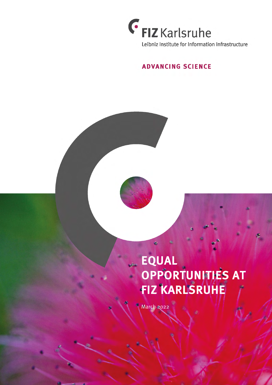

## **ADVANCING SCIENCE**

## EQUAL OPPORTUNITIES AT FIZ KARLSRUHE

March 2022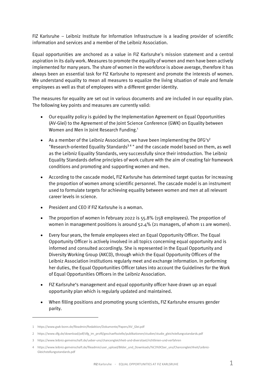FIZ Karlsruhe – Leibniz Institute for Information Infrastructure is a leading provider of scientific information and services and a member of the Leibniz Association.

 Equal opportunities are anchored as a value in FIZ Karlsruhe's mission statement and a central aspiration in its daily work. Measures to promote the equality of women and men have been actively implemented for many years. The share of women in the workforce is above average, therefore it has always been an essential task for FIZ Karlsruhe to represent and promote the interests of women. We understand equality to mean all measures to equalize the living situation of male and female employees as well as that of employees with a different gender identity.

 The measures for equality are set out in various documents and are included in our equality plan. The following key points and measures are currently valid:

- • Our equality policy is guided by the Implementation Agreement on Equal Opportunities (AV-Glei) to the Agreement of the Joint Science Conference (GWK) on Equality between Women and Men in Joint Research Funding.<sup>1</sup>
- As a member of the Leibniz Association, we have been implementing the DFG's<sup>2</sup> "Research-oriented Equality Standards<sup>34</sup>" and the cascade model based on them, as well as the Leibniz Equality Standards, very successfully since their introduction. The Leibniz Equality Standards define principles of work culture with the aim of creating fair framework conditions and promoting and supporting women and men.
- • According to the cascade model, FIZ Karlsruhe has determined target quotas for increasing the proportion of women among scientific personnel. The cascade model is an instrument used to formulate targets for achieving equality between women and men at all relevant career levels in science.
- President and CEO if FIZ Karlsruhe is a woman.
- • The proportion of women in February 2022 is 55.8% (158 employees). The proportion of women in management positions is around 52.4% (21 managers, of whom 11 are women).
- • Every four years, the female employees elect an Equal Opportunity Officer. The Equal Opportunity Officer is actively involved in all topics concerning equal opportunity and is informed and consulted accordingly. She is represented in the Equal Opportunity and Diversity Working Group (AKCD), through which the Equal Opportunity Officers of the Leibniz Association institutions regularly meet and exchange information. In performing her duties, the Equal Opportunities Officer takes into account the Guidelines for the Work of Equal Opportunities Officers in the Leibniz Association.
- • FIZ Karlsruhe's management and equal opportunity officer have drawn up an equal opportunity plan which is regularly updated and maintained.
- • When filling positions and promoting young scientists, FIZ Karlsruhe ensures gender parity.

l

 1 [https://www.gwk-bonn.de/fileadmin/Redaktion/Dokumente/Papers/AV\\_Glei.pdf](https://www.gwk-bonn.de/fileadmin/Redaktion/Dokumente/Papers/AV_Glei.pdf)

 2 [https://www.dfg.de/download/pdf/dfg\\_im\\_profil/geschaeftsstelle/publikationen/studien/studie\\_gleichstellungsstandards.pdf](https://www.dfg.de/download/pdf/dfg_im_profil/geschaeftsstelle/publikationen/studien/studie_gleichstellungsstandards.pdf) 

 3 <https://www.leibniz-gemeinschaft.de/ueber-uns/chancengleichheit-und-diversitaet/richtlinien-und-verfahren>

 4 [https://www.leibniz-gemeinschaft.de/fileadmin/user\\_upload/Bilder\\_und\\_Downloads/%C3%9Cber\\_uns/Chancengleichheit/Leibniz](https://www.leibniz-gemeinschaft.de/fileadmin/user_upload/Bilder_und_Downloads/%C3%9Cber_uns/Chancengleichheit/Leibniz)-Gleichstellungsstandards.pdf